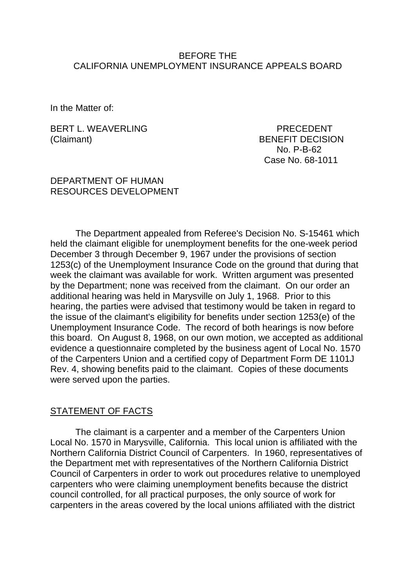### BEFORE THE CALIFORNIA UNEMPLOYMENT INSURANCE APPEALS BOARD

In the Matter of:

BERT L. WEAVERLING PRECEDENT (Claimant) BENEFIT DECISION

No. P-B-62 Case No. 68-1011

#### DEPARTMENT OF HUMAN RESOURCES DEVELOPMENT

The Department appealed from Referee's Decision No. S-15461 which held the claimant eligible for unemployment benefits for the one-week period December 3 through December 9, 1967 under the provisions of section 1253(c) of the Unemployment Insurance Code on the ground that during that week the claimant was available for work. Written argument was presented by the Department; none was received from the claimant. On our order an additional hearing was held in Marysville on July 1, 1968. Prior to this hearing, the parties were advised that testimony would be taken in regard to the issue of the claimant's eligibility for benefits under section 1253(e) of the Unemployment Insurance Code. The record of both hearings is now before this board. On August 8, 1968, on our own motion, we accepted as additional evidence a questionnaire completed by the business agent of Local No. 1570 of the Carpenters Union and a certified copy of Department Form DE 1101J Rev. 4, showing benefits paid to the claimant. Copies of these documents were served upon the parties.

## STATEMENT OF FACTS

The claimant is a carpenter and a member of the Carpenters Union Local No. 1570 in Marysville, California. This local union is affiliated with the Northern California District Council of Carpenters. In 1960, representatives of the Department met with representatives of the Northern California District Council of Carpenters in order to work out procedures relative to unemployed carpenters who were claiming unemployment benefits because the district council controlled, for all practical purposes, the only source of work for carpenters in the areas covered by the local unions affiliated with the district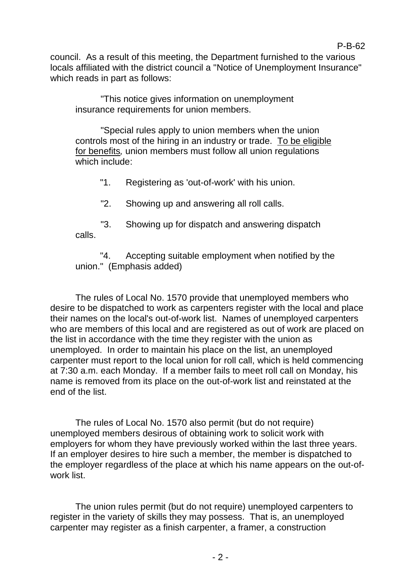council. As a result of this meeting, the Department furnished to the various locals affiliated with the district council a "Notice of Unemployment Insurance" which reads in part as follows:

P-B-62

"This notice gives information on unemployment insurance requirements for union members.

"Special rules apply to union members when the union controls most of the hiring in an industry or trade. To be eligible for benefits*,* union members must follow all union regulations which include:

"1. Registering as 'out-of-work' with his union.

"2. Showing up and answering all roll calls.

"3. Showing up for dispatch and answering dispatch calls.

"4. Accepting suitable employment when notified by the union." (Emphasis added)

The rules of Local No. 1570 provide that unemployed members who desire to be dispatched to work as carpenters register with the local and place their names on the local's out-of-work list. Names of unemployed carpenters who are members of this local and are registered as out of work are placed on the list in accordance with the time they register with the union as unemployed. In order to maintain his place on the list, an unemployed carpenter must report to the local union for roll call, which is held commencing at 7:30 a.m. each Monday. If a member fails to meet roll call on Monday, his name is removed from its place on the out-of-work list and reinstated at the end of the list.

The rules of Local No. 1570 also permit (but do not require) unemployed members desirous of obtaining work to solicit work with employers for whom they have previously worked within the last three years. If an employer desires to hire such a member, the member is dispatched to the employer regardless of the place at which his name appears on the out-ofwork list.

The union rules permit (but do not require) unemployed carpenters to register in the variety of skills they may possess. That is, an unemployed carpenter may register as a finish carpenter, a framer, a construction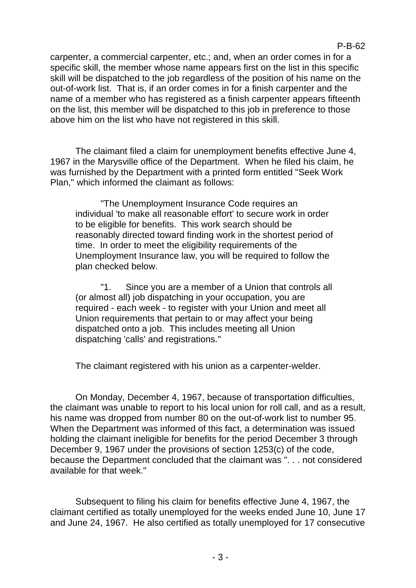carpenter, a commercial carpenter, etc.; and, when an order comes in for a specific skill, the member whose name appears first on the list in this specific skill will be dispatched to the job regardless of the position of his name on the out-of-work list. That is, if an order comes in for a finish carpenter and the name of a member who has registered as a finish carpenter appears fifteenth on the list, this member will be dispatched to this job in preference to those above him on the list who have not registered in this skill.

The claimant filed a claim for unemployment benefits effective June 4, 1967 in the Marysville office of the Department. When he filed his claim, he was furnished by the Department with a printed form entitled "Seek Work Plan," which informed the claimant as follows:

"The Unemployment Insurance Code requires an individual 'to make all reasonable effort' to secure work in order to be eligible for benefits. This work search should be reasonably directed toward finding work in the shortest period of time. In order to meet the eligibility requirements of the Unemployment Insurance law, you will be required to follow the plan checked below.

"1. Since you are a member of a Union that controls all (or almost all) job dispatching in your occupation, you are required - each week - to register with your Union and meet all Union requirements that pertain to or may affect your being dispatched onto a job. This includes meeting all Union dispatching 'calls' and registrations."

The claimant registered with his union as a carpenter-welder.

On Monday, December 4, 1967, because of transportation difficulties, the claimant was unable to report to his local union for roll call, and as a result, his name was dropped from number 80 on the out-of-work list to number 95. When the Department was informed of this fact, a determination was issued holding the claimant ineligible for benefits for the period December 3 through December 9, 1967 under the provisions of section 1253(c) of the code, because the Department concluded that the claimant was ". . . not considered available for that week."

Subsequent to filing his claim for benefits effective June 4, 1967, the claimant certified as totally unemployed for the weeks ended June 10, June 17 and June 24, 1967. He also certified as totally unemployed for 17 consecutive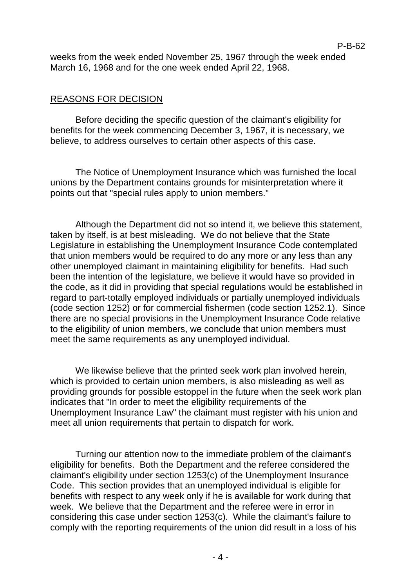weeks from the week ended November 25, 1967 through the week ended March 16, 1968 and for the one week ended April 22, 1968.

## REASONS FOR DECISION

Before deciding the specific question of the claimant's eligibility for benefits for the week commencing December 3, 1967, it is necessary, we believe, to address ourselves to certain other aspects of this case.

The Notice of Unemployment Insurance which was furnished the local unions by the Department contains grounds for misinterpretation where it points out that "special rules apply to union members."

Although the Department did not so intend it, we believe this statement, taken by itself, is at best misleading. We do not believe that the State Legislature in establishing the Unemployment Insurance Code contemplated that union members would be required to do any more or any less than any other unemployed claimant in maintaining eligibility for benefits. Had such been the intention of the legislature, we believe it would have so provided in the code, as it did in providing that special regulations would be established in regard to part-totally employed individuals or partially unemployed individuals (code section 1252) or for commercial fishermen (code section 1252.1). Since there are no special provisions in the Unemployment Insurance Code relative to the eligibility of union members, we conclude that union members must meet the same requirements as any unemployed individual.

We likewise believe that the printed seek work plan involved herein, which is provided to certain union members, is also misleading as well as providing grounds for possible estoppel in the future when the seek work plan indicates that "In order to meet the eligibility requirements of the Unemployment Insurance Law" the claimant must register with his union and meet all union requirements that pertain to dispatch for work.

Turning our attention now to the immediate problem of the claimant's eligibility for benefits. Both the Department and the referee considered the claimant's eligibility under section 1253(c) of the Unemployment Insurance Code. This section provides that an unemployed individual is eligible for benefits with respect to any week only if he is available for work during that week. We believe that the Department and the referee were in error in considering this case under section 1253(c). While the claimant's failure to comply with the reporting requirements of the union did result in a loss of his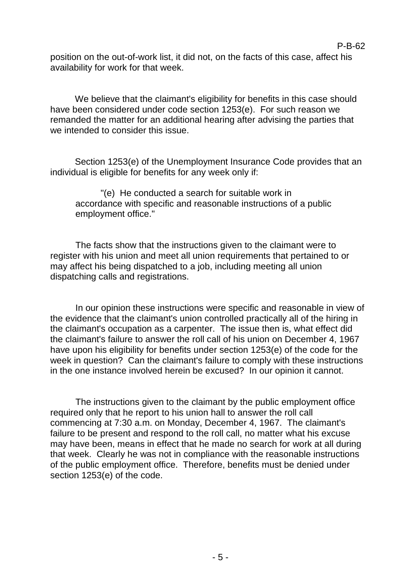position on the out-of-work list, it did not, on the facts of this case, affect his availability for work for that week.

We believe that the claimant's eligibility for benefits in this case should have been considered under code section 1253(e). For such reason we remanded the matter for an additional hearing after advising the parties that we intended to consider this issue.

Section 1253(e) of the Unemployment Insurance Code provides that an individual is eligible for benefits for any week only if:

"(e) He conducted a search for suitable work in accordance with specific and reasonable instructions of a public employment office."

The facts show that the instructions given to the claimant were to register with his union and meet all union requirements that pertained to or may affect his being dispatched to a job, including meeting all union dispatching calls and registrations.

In our opinion these instructions were specific and reasonable in view of the evidence that the claimant's union controlled practically all of the hiring in the claimant's occupation as a carpenter. The issue then is, what effect did the claimant's failure to answer the roll call of his union on December 4, 1967 have upon his eligibility for benefits under section 1253(e) of the code for the week in question? Can the claimant's failure to comply with these instructions in the one instance involved herein be excused? In our opinion it cannot.

The instructions given to the claimant by the public employment office required only that he report to his union hall to answer the roll call commencing at 7:30 a.m. on Monday, December 4, 1967. The claimant's failure to be present and respond to the roll call, no matter what his excuse may have been, means in effect that he made no search for work at all during that week. Clearly he was not in compliance with the reasonable instructions of the public employment office. Therefore, benefits must be denied under section 1253(e) of the code.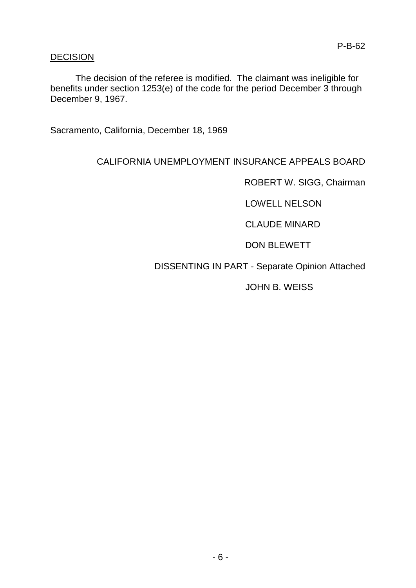# **DECISION**

The decision of the referee is modified. The claimant was ineligible for benefits under section 1253(e) of the code for the period December 3 through December 9, 1967.

Sacramento, California, December 18, 1969

# CALIFORNIA UNEMPLOYMENT INSURANCE APPEALS BOARD

ROBERT W. SIGG, Chairman

LOWELL NELSON

CLAUDE MINARD

DON BLEWETT

# DISSENTING IN PART - Separate Opinion Attached

JOHN B. WEISS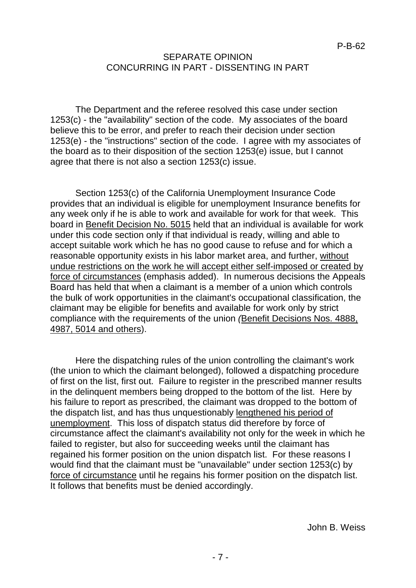## SEPARATE OPINION CONCURRING IN PART - DISSENTING IN PART

The Department and the referee resolved this case under section 1253(c) - the "availability" section of the code. My associates of the board believe this to be error, and prefer to reach their decision under section 1253(e) - the "instructions" section of the code. I agree with my associates of the board as to their disposition of the section 1253(e) issue, but I cannot agree that there is not also a section 1253(c) issue.

Section 1253(c) of the California Unemployment Insurance Code provides that an individual is eligible for unemployment Insurance benefits for any week only if he is able to work and available for work for that week. This board in Benefit Decision No. 5015 held that an individual is available for work under this code section only if that individual is ready, willing and able to accept suitable work which he has no good cause to refuse and for which a reasonable opportunity exists in his labor market area, and further, without undue restrictions on the work he will accept either self-imposed or created by force of circumstances (emphasis added). In numerous decisions the Appeals Board has held that when a claimant is a member of a union which controls the bulk of work opportunities in the claimant's occupational classification, the claimant may be eligible for benefits and available for work only by strict compliance with the requirements of the union *(*Benefit Decisions Nos. 4888, 4987, 5014 and others).

Here the dispatching rules of the union controlling the claimant's work (the union to which the claimant belonged), followed a dispatching procedure of first on the list, first out. Failure to register in the prescribed manner results in the delinquent members being dropped to the bottom of the list. Here by his failure to report as prescribed, the claimant was dropped to the bottom of the dispatch list, and has thus unquestionably lengthened his period of unemployment. This loss of dispatch status did therefore by force of circumstance affect the claimant's availability not only for the week in which he failed to register, but also for succeeding weeks until the claimant has regained his former position on the union dispatch list. For these reasons I would find that the claimant must be "unavailable" under section 1253(c) by force of circumstance until he regains his former position on the dispatch list. It follows that benefits must be denied accordingly.

John B. Weiss